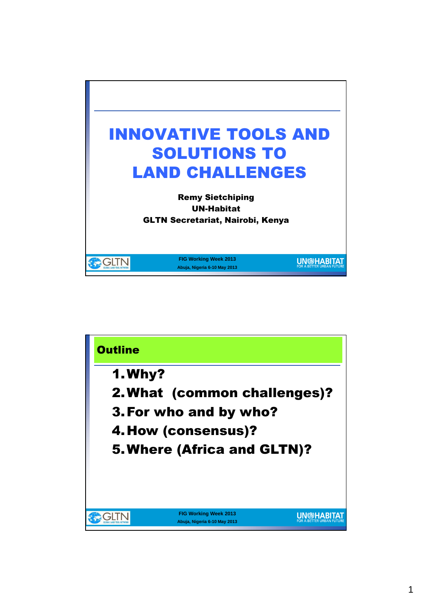

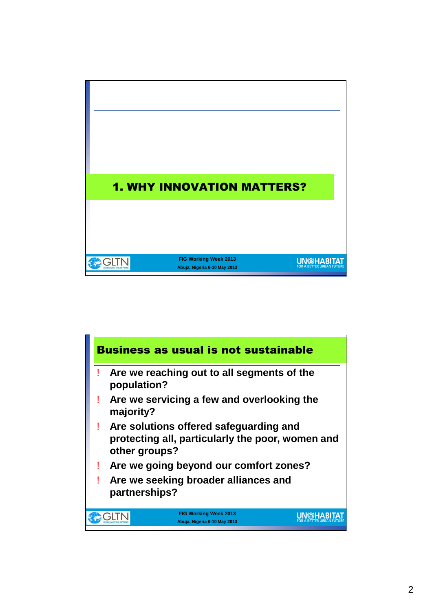

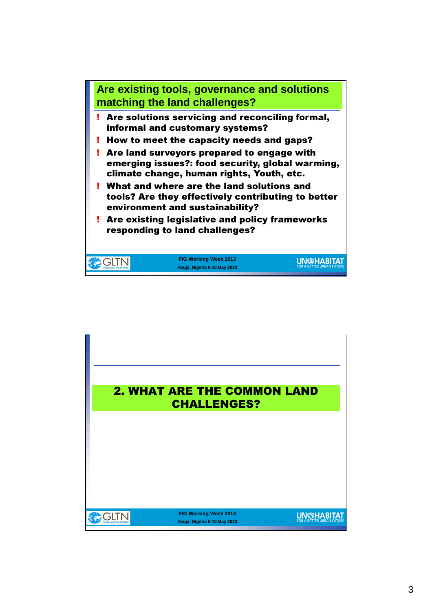

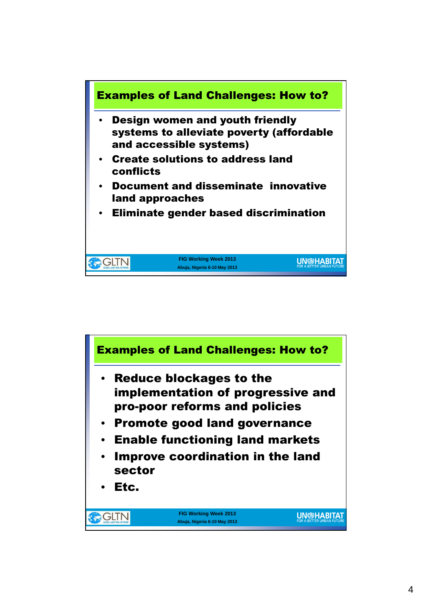

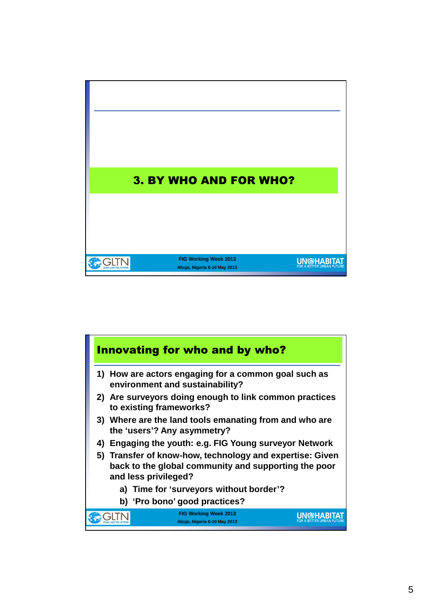

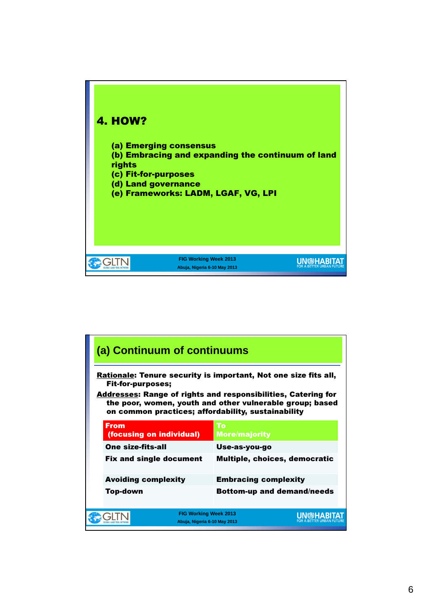

| (a) Continuum of continuums                                                                                                                                                                                                                                                           |                                                              |                                   |  |  |
|---------------------------------------------------------------------------------------------------------------------------------------------------------------------------------------------------------------------------------------------------------------------------------------|--------------------------------------------------------------|-----------------------------------|--|--|
| Rationale: Tenure security is important, Not one size fits all,<br><b>Fit-for-purposes;</b><br><b>Addresses: Range of rights and responsibilities, Catering for</b><br>the poor, women, youth and other vulnerable group; based<br>on common practices; affordability, sustainability |                                                              |                                   |  |  |
| <b>From</b><br>(focusing on individual)                                                                                                                                                                                                                                               |                                                              | To<br><b>More/majority</b>        |  |  |
| <b>One size-fits-all</b>                                                                                                                                                                                                                                                              |                                                              | Use-as-you-go                     |  |  |
| <b>Fix and single document</b>                                                                                                                                                                                                                                                        |                                                              | Multiple, choices, democratic     |  |  |
| <b>Avoiding complexity</b>                                                                                                                                                                                                                                                            |                                                              | <b>Embracing complexity</b>       |  |  |
| Top-down                                                                                                                                                                                                                                                                              |                                                              | <b>Bottom-up and demand/needs</b> |  |  |
|                                                                                                                                                                                                                                                                                       | <b>FIG Working Week 2013</b><br>Abuja, Nigeria 6-10 May 2013 |                                   |  |  |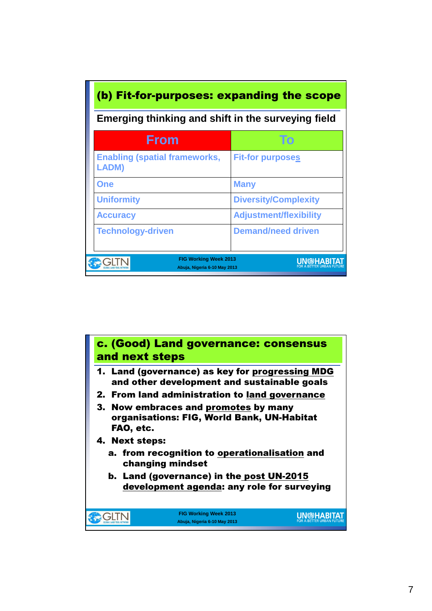| (b) Fit-for-purposes: expanding the scope                    |                               |  |  |  |
|--------------------------------------------------------------|-------------------------------|--|--|--|
| Emerging thinking and shift in the surveying field           |                               |  |  |  |
| From                                                         |                               |  |  |  |
| <b>Enabling (spatial frameworks,</b><br><b>LADM)</b>         | <b>Fit-for purposes</b>       |  |  |  |
| <b>One</b>                                                   | <b>Many</b>                   |  |  |  |
| <b>Uniformity</b>                                            | <b>Diversity/Complexity</b>   |  |  |  |
| <b>Accuracy</b>                                              | <b>Adjustment/flexibility</b> |  |  |  |
| <b>Technology-driven</b>                                     | <b>Demand/need driven</b>     |  |  |  |
| <b>FIG Working Week 2013</b><br>Abuja, Nigeria 6-10 May 2013 |                               |  |  |  |

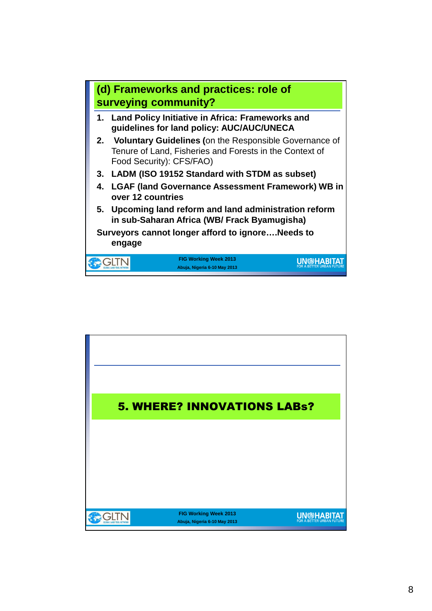

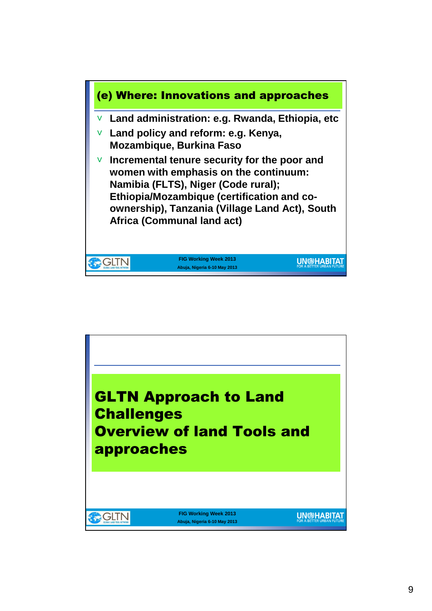

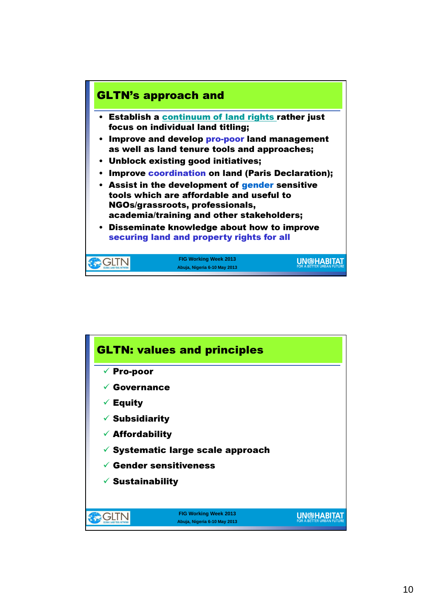

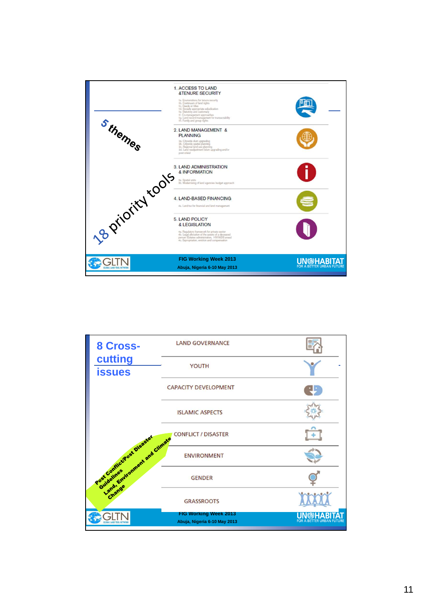

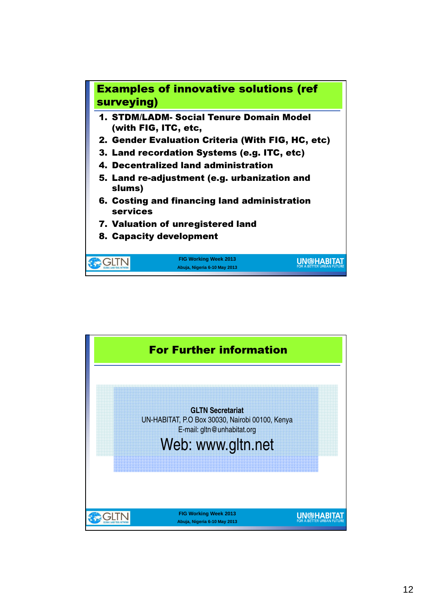

- 1. STDM/LADM- Social Tenure Domain Model (with FIG, ITC, etc,
- 2. Gender Evaluation Criteria (With FIG, HC, etc)
- 3. Land recordation Systems (e.g. ITC, etc)
- 4. Decentralized land administration
- 5. Land re-adjustment (e.g. urbanization and slums)
- 6. Costing and financing land administration services

**FIG Working Week 2013 Abuja, Nigeria 6-10 May 2013**

**UN<sup>@HABITAT**</sup>

- 7. Valuation of unregistered land
- 8. Capacity development

**OGLTN** 

For Further information **GLTN Secretariat** UN-HABITAT, P.O Box 30030, Nairobi 00100, Kenya E-mail: gltn@unhabitat.org Web: www.gltn.net**FIG Working Week 2013 UN@HABITAT** CHTN **Abuja, Nigeria 6-10 May 2013**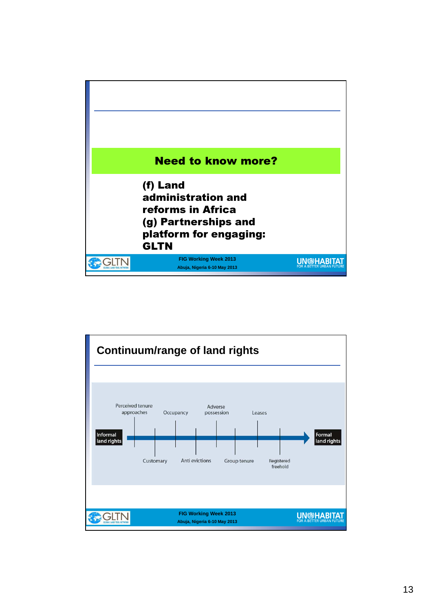

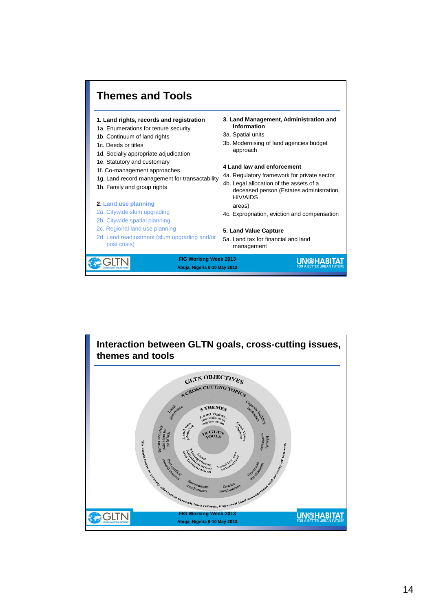

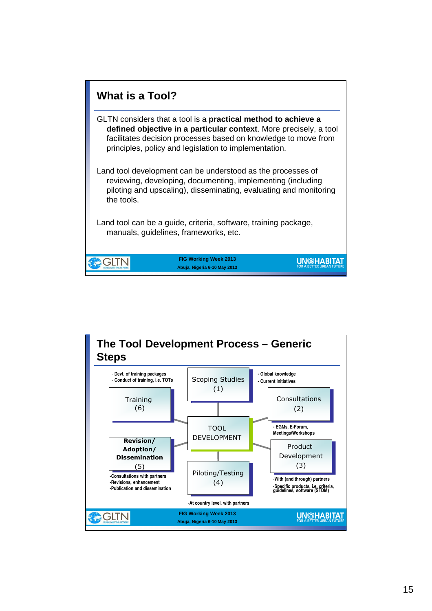